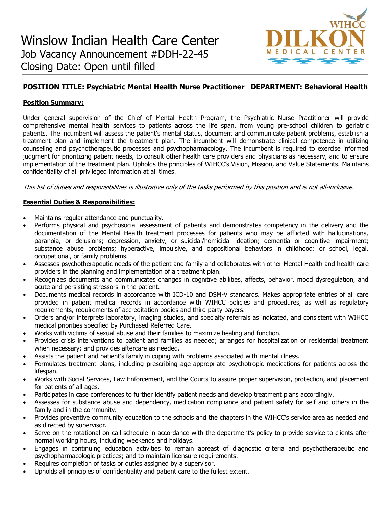

# **POSITION TITLE: Psychiatric Mental Health Nurse Practitioner DEPARTMENT: Behavioral Health**

## **Position Summary:**

Under general supervision of the Chief of Mental Health Program, the Psychiatric Nurse Practitioner will provide comprehensive mental health services to patients across the life span, from young pre-school children to geriatric patients. The incumbent will assess the patient's mental status, document and communicate patient problems, establish a treatment plan and implement the treatment plan. The incumbent will demonstrate clinical competence in utilizing counseling and psychotherapeutic processes and psychopharmacology. The incumbent is required to exercise informed judgment for prioritizing patient needs, to consult other health care providers and physicians as necessary, and to ensure implementation of the treatment plan. Upholds the principles of WIHCC's Vision, Mission, and Value Statements. Maintains confidentiality of all privileged information at all times.

This list of duties and responsibilities is illustrative only of the tasks performed by this position and is not all-inclusive.

## **Essential Duties & Responsibilities:**

- Maintains regular attendance and punctuality.
- Performs physical and psychosocial assessment of patients and demonstrates competency in the delivery and the documentation of the Mental Health treatment processes for patients who may be afflicted with hallucinations, paranoia, or delusions; depression, anxiety, or suicidal/homicidal ideation; dementia or cognitive impairment; substance abuse problems; hyperactive, impulsive, and oppositional behaviors in childhood: or school, legal, occupational, or family problems.
- Assesses psychotherapeutic needs of the patient and family and collaborates with other Mental Health and health care providers in the planning and implementation of a treatment plan.
- Recognizes documents and communicates changes in cognitive abilities, affects, behavior, mood dysregulation, and acute and persisting stressors in the patient.
- Documents medical records in accordance with ICD-10 and DSM-V standards. Makes appropriate entries of all care provided in patient medical records in accordance with WIHCC policies and procedures, as well as regulatory requirements, requirements of accreditation bodies and third party payers.
- Orders and/or interprets laboratory, imaging studies, and specialty referrals as indicated, and consistent with WIHCC medical priorities specified by Purchased Referred Care.
- Works with victims of sexual abuse and their families to maximize healing and function.
- Provides crisis interventions to patient and families as needed; arranges for hospitalization or residential treatment when necessary; and provides aftercare as needed.
- Assists the patient and patient's family in coping with problems associated with mental illness.
- Formulates treatment plans, including prescribing age-appropriate psychotropic medications for patients across the lifespan.
- Works with Social Services, Law Enforcement, and the Courts to assure proper supervision, protection, and placement for patients of all ages.
- Participates in case conferences to further identify patient needs and develop treatment plans accordingly.
- Assesses for substance abuse and dependency, medication compliance and patient safety for self and others in the family and in the community.
- Provides preventive community education to the schools and the chapters in the WIHCC's service area as needed and as directed by supervisor.
- Serve on the rotational on-call schedule in accordance with the department's policy to provide service to clients after normal working hours, including weekends and holidays.
- Engages in continuing education activities to remain abreast of diagnostic criteria and psychotherapeutic and psychopharmacologic practices; and to maintain licensure requirements.
- Requires completion of tasks or duties assigned by a supervisor.
- Upholds all principles of confidentiality and patient care to the fullest extent.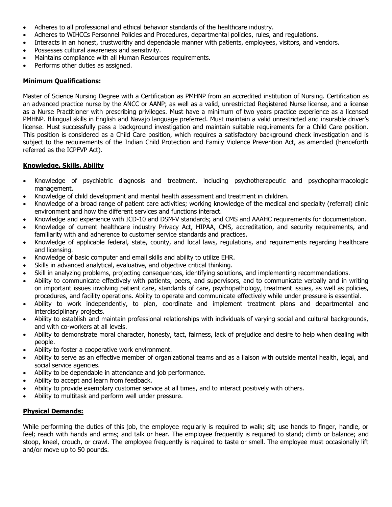- Adheres to all professional and ethical behavior standards of the healthcare industry.
- Adheres to WIHCCs Personnel Policies and Procedures, departmental policies, rules, and regulations.
- Interacts in an honest, trustworthy and dependable manner with patients, employees, visitors, and vendors.
- Possesses cultural awareness and sensitivity.
- Maintains compliance with all Human Resources requirements.
- Performs other duties as assigned.

### **Minimum Qualifications:**

Master of Science Nursing Degree with a Certification as PMHNP from an accredited institution of Nursing. Certification as an advanced practice nurse by the ANCC or AANP; as well as a valid, unrestricted Registered Nurse license, and a license as a Nurse Practitioner with prescribing privileges. Must have a minimum of two years practice experience as a licensed PMHNP. Bilingual skills in English and Navajo language preferred. Must maintain a valid unrestricted and insurable driver's license. Must successfully pass a background investigation and maintain suitable requirements for a Child Care position. This position is considered as a Child Care position, which requires a satisfactory background check investigation and is subject to the requirements of the Indian Child Protection and Family Violence Prevention Act, as amended (henceforth referred as the ICPFVP Act).

### **Knowledge, Skills, Ability**

- Knowledge of psychiatric diagnosis and treatment, including psychotherapeutic and psychopharmacologic management.
- Knowledge of child development and mental health assessment and treatment in children.
- Knowledge of a broad range of patient care activities; working knowledge of the medical and specialty (referral) clinic environment and how the different services and functions interact.
- Knowledge and experience with ICD-10 and DSM-V standards; and CMS and AAAHC requirements for documentation.
- Knowledge of current healthcare industry Privacy Act, HIPAA, CMS, accreditation, and security requirements, and familiarity with and adherence to customer service standards and practices.
- Knowledge of applicable federal, state, county, and local laws, regulations, and requirements regarding healthcare and licensing.
- Knowledge of basic computer and email skills and ability to utilize EHR.
- Skills in advanced analytical, evaluative, and objective critical thinking.
- Skill in analyzing problems, projecting consequences, identifying solutions, and implementing recommendations.
- Ability to communicate effectively with patients, peers, and supervisors, and to communicate verbally and in writing on important issues involving patient care, standards of care, psychopathology, treatment issues, as well as policies, procedures, and facility operations. Ability to operate and communicate effectively while under pressure is essential.
- Ability to work independently, to plan, coordinate and implement treatment plans and departmental and interdisciplinary projects.
- Ability to establish and maintain professional relationships with individuals of varying social and cultural backgrounds, and with co-workers at all levels.
- Ability to demonstrate moral character, honesty, tact, fairness, lack of prejudice and desire to help when dealing with people.
- Ability to foster a cooperative work environment.
- Ability to serve as an effective member of organizational teams and as a liaison with outside mental health, legal, and social service agencies.
- Ability to be dependable in attendance and job performance.
- Ability to accept and learn from feedback.
- Ability to provide exemplary customer service at all times, and to interact positively with others.
- Ability to multitask and perform well under pressure.

## **Physical Demands:**

While performing the duties of this job, the employee regularly is reguired to walk; sit; use hands to finger, handle, or feel; reach with hands and arms; and talk or hear. The employee frequently is required to stand; climb or balance; and stoop, kneel, crouch, or crawl. The employee frequently is required to taste or smell. The employee must occasionally lift and/or move up to 50 pounds.